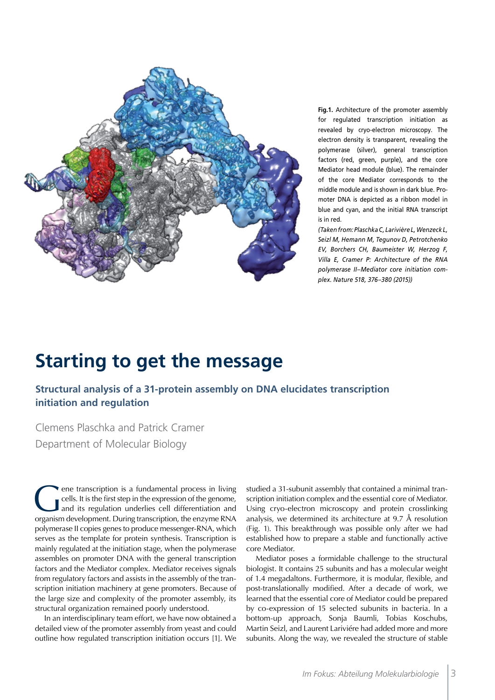

**Fig.1.** Architecture of the promoter assembly for regulated transcription initiation as revealed by cryo-electron microscopy. The electron density is transparent, revealing the polymerase (silver), general transcription factors (red, green, purple), and the core Mediator head module (blue). The remainder of the core Mediator corresponds to the middle module and is shown in dark blue. Promoter DNA is depicted as a ribbon model in blue and cyan, and the initial RNA transcript is in red.

*(Taken from: Plaschka C, Larivière L, Wenzeck L, Seizl M, Hemann M, Tegunov D, Petrotchenko EV, Borchers CH, Baumeister W, Herzog F, Villa E, Cramer P: Architecture of the RNA polymerase II–Mediator core initiation complex. Nature 518, 376–380 (2015))*

## **Starting to get the message**

**Structural analysis of a 31-protein assembly on DNA elucidates transcription initiation and regulation**

Clemens Plaschka and Patrick Cramer Department of Molecular Biology

Gene transcription is a fundamental process in living<br>
cells. It is the first step in the expression of the genome,<br>
and its regulation underlies cell differentiation and<br>
creanism development During transcription the enzy cells. It is the first step in the expression of the genome, organism development. During transcription, the enzyme RNA polymerase II copies genes to produce messenger-RNA, which serves as the template for protein synthesis. Transcription is mainly regulated at the initiation stage, when the polymerase assembles on promoter DNA with the general transcription factors and the Mediator complex. Mediator receives signals from regulatory factors and assists in the assembly of the transcription initiation machinery at gene promoters. Because of the large size and complexity of the promoter assembly, its structural organization remained poorly understood.

In an interdisciplinary team effort, we have now obtained a detailed view of the promoter assembly from yeast and could outline how regulated transcription initiation occurs [1]. We studied a 31-subunit assembly that contained a minimal transcription initiation complex and the essential core of Mediator. Using cryo-electron microscopy and protein crosslinking analysis, we determined its architecture at 9.7 Å resolution (Fig. 1). This breakthrough was possible only after we had established how to prepare a stable and functionally active core Mediator.

Mediator poses a formidable challenge to the structural biologist. It contains 25 subunits and has a molecular weight of 1.4 megadaltons. Furthermore, it is modular, flexible, and post-translationally modified. After a decade of work, we learned that the essential core of Mediator could be prepared by co-expression of 15 selected subunits in bacteria. In a bottom-up approach, Sonja Baumli, Tobias Koschubs, Martin Seizl, and Laurent Lariviére had added more and more subunits. Along the way, we revealed the structure of stable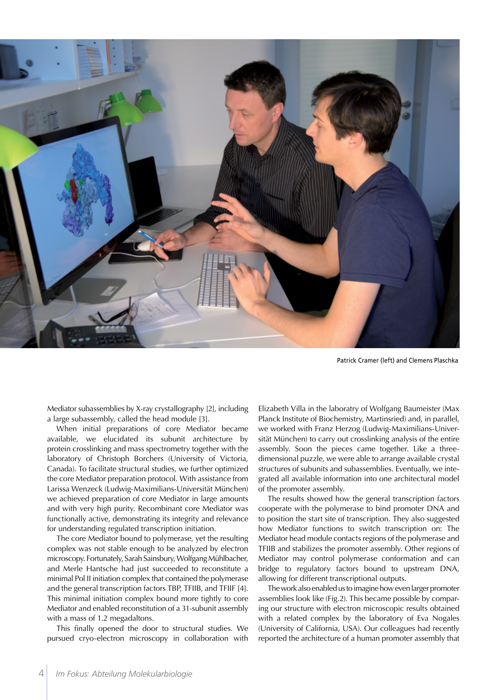

Patrick Cramer (left) and Clemens Plaschka

Mediator subassemblies by X-ray crystallography [2], including a large subassembly, called the head module [3].

When initial preparations of core Mediator became available, we elucidated its subunit architecture by protein crosslinking and mass spectrometry together with the laboratory of Christoph Borchers (University of Victoria, Canada). To facilitate structural studies, we further optimized the core Mediator preparation protocol. With assistance from Larissa Wenzeck (Ludwig-Maximilians-Universität München) we achieved preparation of core Mediator in large amounts and with very high purity. Recombinant core Mediator was functionally active, demonstrating its integrity and relevance for understanding regulated transcription initiation.

The core Mediator bound to polymerase, yet the resulting complex was not stable enough to be analyzed by electron microscopy. Fortunately, Sarah Sainsbury, Wolfgang Mühlbacher, and Merle Hantsche had just succeeded to reconstitute a minimal Pol II initiation complex that contained the polymerase and the general transcription factors TBP, TFIIB, and TFIIF [4]. This minimal initiation complex bound more tightly to core Mediator and enabled reconstitution of a 31-subunit assembly with a mass of 1.2 megadaltons.

This finally opened the door to structural studies. We pursued cryo-electron microscopy in collaboration with Elizabeth Villa in the laboratry of Wolfgang Baumeister (Max Planck Institute of Biochemistry, Martinsried) and, in parallel, we worked with Franz Herzog (Ludwig-Maximilians-Universität München) to carry out crosslinking analysis of the entire assembly. Soon the pieces came together. Like a threedimensional puzzle, we were able to arrange available crystal structures of subunits and subassemblies. Eventually, we integrated all available information into one architectural model of the promoter assembly.

The results showed how the general transcription factors cooperate with the polymerase to bind promoter DNA and to position the start site of transcription. They also suggested how Mediator functions to switch transcription on: The Mediator head module contacts regions of the polymerase and TFIIB and stabilizes the promoter assembly. Other regions of Mediator may control polymerase conformation and can bridge to regulatory factors bound to upstream DNA, allowing for different transcriptional outputs.

The work also enabled us to imagine how even larger promoter assemblies look like (Fig.2). This became possible by comparing our structure with electron microscopic results obtained with a related complex by the laboratory of Eva Nogales (University of California, USA). Our colleagues had recently reported the architecture of a human promoter assembly that